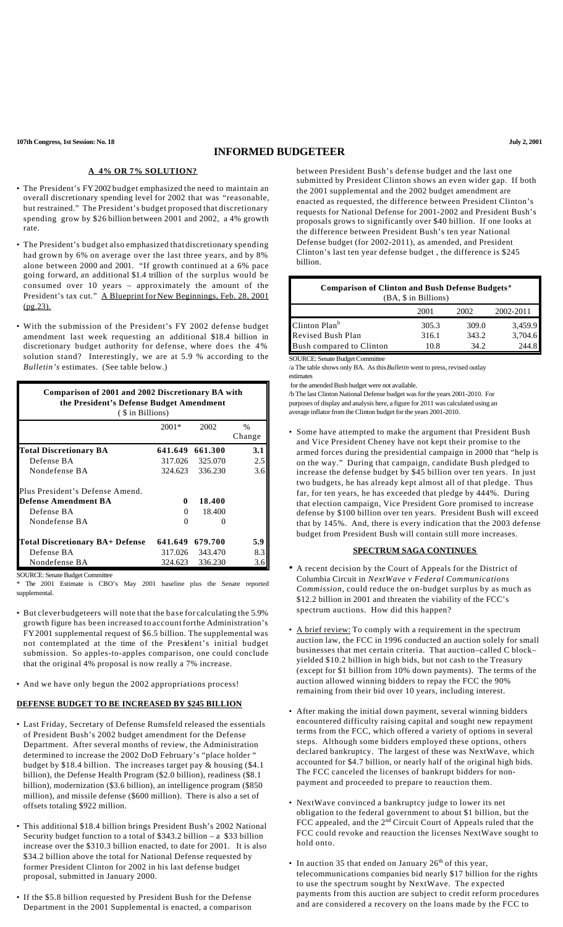**107th Congress, 1st Session: No. 18 July 2, 2001**

# **INFORMED BUDGETEER**

#### **A 4% OR 7% SOLUTION?**

- The President's FY2002 budget emphasized the need to maintain an overall discretionary spending level for 2002 that was "reasonable, but restrained." The President's budget proposed that discretionary spending grow by \$26 billion between 2001 and 2002, a 4% growth rate.
- The President's budget also emphasized that discretionary spending had grown by 6% on average over the last three years, and by 8% alone between 2000 and 2001. "If growth continued at a 6% pace going forward, an additional \$1.4 trillion of the surplus would be consumed over 10 years – approximately the amount of the President's tax cut." A Blueprint for New Beginnings, Feb. 28, 2001 (pg.23).
- With the submission of the President's FY 2002 defense budget amendment last week requesting an additional \$18.4 billion in discretionary budget authority for defense, where does the 4% solution stand? Interestingly, we are at 5.9 % according to the *Bulletin's* estimates. (See table below.)

| $2001*$<br>641.649<br>317.026 | 2002<br>661.300<br>325.070 | $\frac{0}{0}$<br>Change<br>3.1<br>2.5 |
|-------------------------------|----------------------------|---------------------------------------|
|                               |                            |                                       |
|                               |                            |                                       |
|                               |                            |                                       |
|                               |                            |                                       |
| 324.623                       | 336.230                    | 3.6                                   |
|                               |                            |                                       |
| 0                             | 18.400                     |                                       |
| 0                             | 18.400                     |                                       |
| 0                             |                            |                                       |
|                               | 679.700                    | 5.9                                   |
|                               | 343.470                    | 8.3                                   |
|                               | 336.230                    | 3.6                                   |
|                               |                            | 641.649<br>317.026<br>324.623         |

\* The 2001 Estimate is CBO's May 2001 baseline plus the Senate reported supplemental.

- But clever budgeteers will note that the base for calculating the 5.9% growth figure has been increased to accountforthe Administration's FY2001 supplemental request of \$6.5 billion. The supplemental was not contemplated at the time of the President's initial budget submission. So apples-to-apples comparison, one could conclude that the original 4% proposal is now really a 7% increase.
- And we have only begun the 2002 appropriations process!

### **DEFENSE BUDGET TO BE INCREASED BY \$245 BILLION**

- Last Friday, Secretary of Defense Rumsfeld released the essentials of President Bush's 2002 budget amendment for the Defense Department. After several months of review, the Administration determined to increase the 2002 DoD February's "place holder " budget by \$18.4 billion. The increases target pay & housing (\$4.1 billion), the Defense Health Program (\$2.0 billion), readiness (\$8.1 billion), modernization (\$3.6 billion), an intelligence program (\$850 million), and missile defense (\$600 million). There is also a set of offsets totaling \$922 million.
- This additional \$18.4 billion brings President Bush's 2002 National Security budget function to a total of \$343.2 billion – a \$33 billion increase over the \$310.3 billion enacted, to date for 2001. It is also \$34.2 billion above the total for National Defense requested by former President Clinton for 2002 in his last defense budget proposal, submitted in January 2000.
- If the \$5.8 billion requested by President Bush for the Defense Department in the 2001 Supplemental is enacted, a comparison

between President Bush's defense budget and the last one submitted by President Clinton shows an even wider gap. If both the 2001 supplemental and the 2002 budget amendment are enacted as requested, the difference between President Clinton's requests for National Defense for 2001-2002 and President Bush's proposals grows to significantly over \$40 billion. If one looks at the difference between President Bush's ten year National Defense budget (for 2002-2011), as amended, and President Clinton's last ten year defense budget , the difference is \$245 billion.

| <b>Comparison of Clinton and Bush Defense Budgets</b> <sup>a</sup><br>(BA, \$ in Billions) |       |       |           |  |
|--------------------------------------------------------------------------------------------|-------|-------|-----------|--|
|                                                                                            | 2001  | 2002  | 2002-2011 |  |
| Clinton Plan <sup>b</sup>                                                                  | 305.3 | 309.0 | 3,459.9   |  |
| Revised Bush Plan                                                                          | 316.1 | 343.2 | 3,704.6   |  |
| Bush compared to Clinton                                                                   | 10.8  | 34.2  | 2448      |  |

SOURCE: Senate Budget Committee

/a The table shows only BA. As this *Bulletin* went to press, revised outlay estimates

for the amended Bush budget were not available.

/b The last Clinton National Defense budget was for the years 2001-2010. For purposes of display and analysis here, a figure for 2011 was calculated using an average inflator from the Clinton budget for the years 2001-2010.

• Some have attempted to make the argument that President Bush and Vice President Cheney have not kept their promise to the armed forces during the presidential campaign in 2000 that "help is on the way." During that campaign, candidate Bush pledged to increase the defense budget by \$45 billion over ten years. In just two budgets, he has already kept almost all of that pledge. Thus far, for ten years, he has exceeded that pledge by 444%. During that election campaign, Vice President Gore promised to increase defense by \$100 billion over ten years. President Bush will exceed that by 145%. And, there is every indication that the 2003 defense budget from President Bush will contain still more increases.

### **SPECTRUM SAGA CONTINUES**

- A recent decision by the Court of Appeals for the District of Columbia Circuit in *NextWave v Federal Communications Commission*, could reduce the on-budget surplus by as much as \$12.2 billion in 2001 and threaten the viability of the FCC's spectrum auctions. How did this happen?
- A brief review: To comply with a requirement in the spectrum auction law, the FCC in 1996 conducted an auction solely for small businesses that met certain criteria. That auction–called C block– yielded \$10.2 billion in high bids, but not cash to the Treasury (except for \$1 billion from 10% down payments). The terms of the auction allowed winning bidders to repay the FCC the 90% remaining from their bid over 10 years, including interest.
- After making the initial down payment, several winning bidders encountered difficulty raising capital and sought new repayment terms from the FCC, which offered a variety of options in several steps. Although some bidders employed these options, others declared bankruptcy. The largest of these was NextWave, which accounted for \$4.7 billion, or nearly half of the original high bids. The FCC canceled the licenses of bankrupt bidders for nonpayment and proceeded to prepare to reauction them.
- NextWave convinced a bankruptcy judge to lower its net obligation to the federal government to about \$1 billion, but the FCC appealed, and the 2<sup>nd</sup> Circuit Court of Appeals ruled that the FCC could revoke and reauction the licenses NextWave sought to hold onto.
- In auction 35 that ended on January  $26<sup>th</sup>$  of this year, telecommunications companies bid nearly \$17 billion for the rights to use the spectrum sought by NextWave. The expected payments from this auction are subject to credit reform procedures and are considered a recovery on the loans made by the FCC to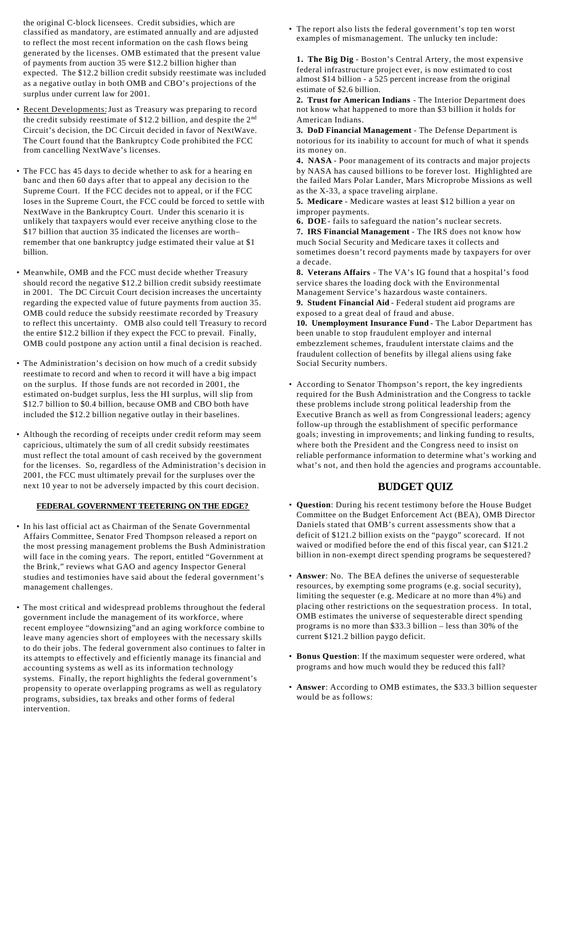the original C-block licensees. Credit subsidies, which are classified as mandatory, are estimated annually and are adjusted to reflect the most recent information on the cash flows being generated by the licenses. OMB estimated that the present value of payments from auction 35 were \$12.2 billion higher than expected. The \$12.2 billion credit subsidy reestimate was included as a negative outlay in both OMB and CBO's projections of the surplus under current law for 2001.

- Recent Developments: Just as Treasury was preparing to record the credit subsidy reestimate of \$12.2 billion, and despite the 2<sup>nd</sup> Circuit's decision, the DC Circuit decided in favor of NextWave. The Court found that the Bankruptcy Code prohibited the FCC from cancelling NextWave's licenses.
- The FCC has 45 days to decide whether to ask for a hearing en banc and then 60 days after that to appeal any decision to the Supreme Court. If the FCC decides not to appeal, or if the FCC loses in the Supreme Court, the FCC could be forced to settle with NextWave in the Bankruptcy Court. Under this scenario it is unlikely that taxpayers would ever receive anything close to the \$17 billion that auction 35 indicated the licenses are worth– remember that one bankruptcy judge estimated their value at \$1 billion.
- Meanwhile, OMB and the FCC must decide whether Treasury should record the negative \$12.2 billion credit subsidy reestimate in 2001. The DC Circuit Court decision increases the uncertainty regarding the expected value of future payments from auction 35. OMB could reduce the subsidy reestimate recorded by Treasury to reflect this uncertainty. OMB also could tell Treasury to record the entire \$12.2 billion if they expect the FCC to prevail. Finally, OMB could postpone any action until a final decision is reached.
- The Administration's decision on how much of a credit subsidy reestimate to record and when to record it will have a big impact on the surplus. If those funds are not recorded in 2001, the estimated on-budget surplus, less the HI surplus, will slip from \$12.7 billion to \$0.4 billion, because OMB and CBO both have included the \$12.2 billion negative outlay in their baselines.
- Although the recording of receipts under credit reform may seem capricious, ultimately the sum of all credit subsidy reestimates must reflect the total amount of cash received by the government for the licenses. So, regardless of the Administration's decision in 2001, the FCC must ultimately prevail for the surpluses over the next 10 year to not be adversely impacted by this court decision.

#### **FEDERAL GOVERNMENT TEETERING ON THE EDGE?**

- In his last official act as Chairman of the Senate Governmental Affairs Committee, Senator Fred Thompson released a report on the most pressing management problems the Bush Administration will face in the coming years. The report, entitled "Government at the Brink," reviews what GAO and agency Inspector General studies and testimonies have said about the federal government's management challenges.
- The most critical and widespread problems throughout the federal government include the management of its workforce, where recent employee "downsizing"and an aging workforce combine to leave many agencies short of employees with the necessary skills to do their jobs. The federal government also continues to falter in its attempts to effectively and efficiently manage its financial and accounting systems as well as its information technology systems. Finally, the report highlights the federal government's propensity to operate overlapping programs as well as regulatory programs, subsidies, tax breaks and other forms of federal intervention.

• The report also lists the federal government's top ten worst examples of mismanagement. The unlucky ten include:

**1. The Big Dig** - Boston's Central Artery, the most expensive federal infrastructure project ever, is now estimated to cost almost \$14 billion - a 525 percent increase from the original estimate of \$2.6 billion.

**2. Trust for American Indians** - The Interior Department does not know what happened to more than \$3 billion it holds for American Indians.

**3. DoD Financial Management** - The Defense Department is notorious for its inability to account for much of what it spends its money on.

**4. NASA** - Poor management of its contracts and major projects by NASA has caused billions to be forever lost. Highlighted are the failed Mars Polar Lander, Mars Microprobe Missions as well as the X-33, a space traveling airplane.

**5. Medicare** - Medicare wastes at least \$12 billion a year on improper payments.

**6. DOE** - fails to safeguard the nation's nuclear secrets. **7. IRS Financial Management** - The IRS does not know how much Social Security and Medicare taxes it collects and sometimes doesn't record payments made by taxpayers for over a decade.

**8. Veterans Affairs** - The VA's IG found that a hospital's food service shares the loading dock with the Environmental Management Service's hazardous waste containers.

**9. Student Financial Aid** - Federal student aid programs are exposed to a great deal of fraud and abuse.

**10. Unemployment Insurance Fund** - The Labor Department has been unable to stop fraudulent employer and internal embezzlement schemes, fraudulent interstate claims and the fraudulent collection of benefits by illegal aliens using fake Social Security numbers.

• According to Senator Thompson's report, the key ingredients required for the Bush Administration and the Congress to tackle these problems include strong political leadership from the Executive Branch as well as from Congressional leaders; agency follow-up through the establishment of specific performance goals; investing in improvements; and linking funding to results, where both the President and the Congress need to insist on reliable performance information to determine what's working and what's not, and then hold the agencies and programs accountable.

## **BUDGET QUIZ**

- **Question**: During his recent testimony before the House Budget Committee on the Budget Enforcement Act (BEA), OMB Director Daniels stated that OMB's current assessments show that a deficit of \$121.2 billion exists on the "paygo" scorecard. If not waived or modified before the end of this fiscal year, can \$121.2 billion in non-exempt direct spending programs be sequestered?
- **Answer**: No. The BEA defines the universe of sequesterable resources, by exempting some programs (e.g. social security), limiting the sequester (e.g. Medicare at no more than 4%) and placing other restrictions on the sequestration process. In total, OMB estimates the universe of sequesterable direct spending programs is no more than \$33.3 billion – less than 30% of the current \$121.2 billion paygo deficit.
- **Bonus Question**: If the maximum sequester were ordered, what programs and how much would they be reduced this fall?
- **Answer**: According to OMB estimates, the \$33.3 billion sequester would be as follows: